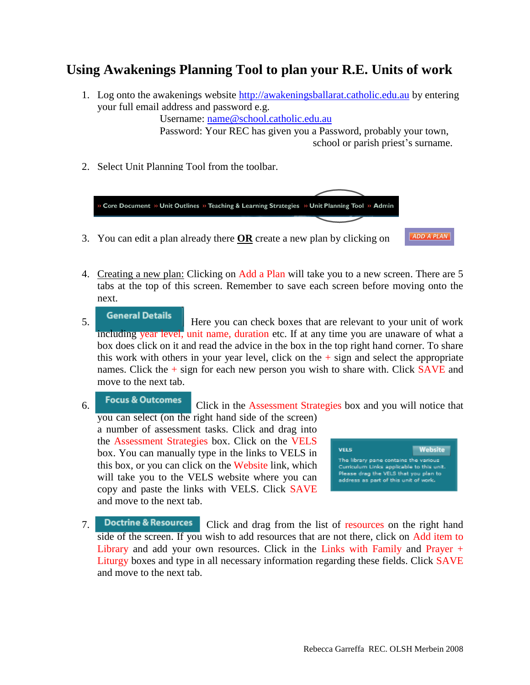## **Using Awakenings Planning Tool to plan your R.E. Units of work**

1. Log onto the awakenings website [http://awakeningsballarat.catholic.edu.au](http://awakeningsballarat.catholic.edu.au/) by entering your full email address and password e.g.

Username: name@school.catholic.edu.au

Password: Your REC has given you a Password, probably your town, school or parish priest's surname.

2. Select Unit Planning Tool from the toolbar.



- 4. Creating a new plan: Clicking on Add a Plan will take you to a new screen. There are 5 tabs at the top of this screen. Remember to save each screen before moving onto the next.
- **5.** General Details **Here you can check boxes that are relevant to your unit of work** including year level, unit name, duration etc. If at any time you are unaware of what a box does click on it and read the advice in the box in the top right hand corner. To share this work with others in your year level, click on the  $+$  sign and select the appropriate names. Click the  $+$  sign for each new person you wish to share with. Click SAVE and move to the next tab.
- 6. Focus & Outcomes Click in the Assessment Strategies box and you will notice that you can select (on the right hand side of the screen) a number of assessment tasks. Click and drag into the Assessment Strategies box. Click on the VELS **VELS** box. You can manually type in the links to VELS in The library pane contains the various this box, or you can click on the Website link, which Curriculum Links applicable to this unit.<br>Please drag the VELS that you plan to will take you to the VELS website where you can address as part of this unit of work. copy and paste the links with VELS. Click SAVE and move to the next tab.
- 7. Doctrine & Resources Click and drag from the list of resources on the right hand side of the screen. If you wish to add resources that are not there, click on Add item to Library and add your own resources. Click in the Links with Family and Prayer + Liturgy boxes and type in all necessary information regarding these fields. Click SAVE and move to the next tab.